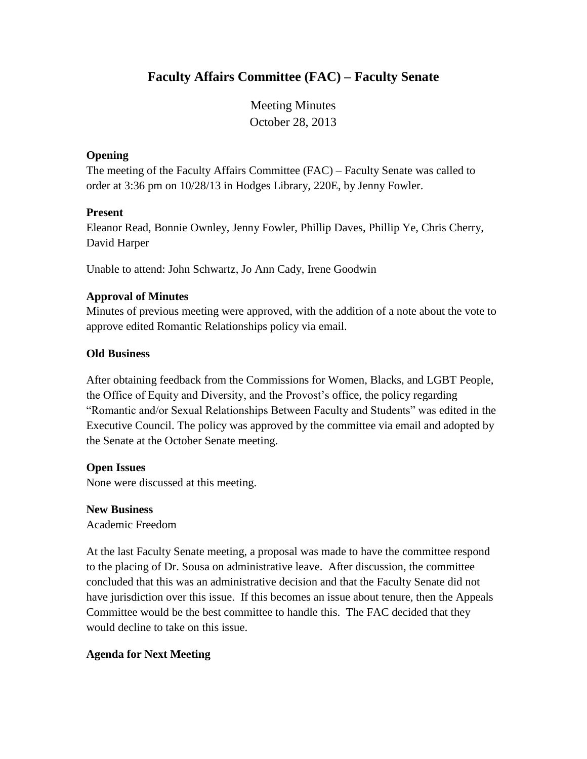# **Faculty Affairs Committee (FAC) – Faculty Senate**

Meeting Minutes October 28, 2013

#### **Opening**

The meeting of the Faculty Affairs Committee (FAC) – Faculty Senate was called to order at 3:36 pm on 10/28/13 in Hodges Library, 220E, by Jenny Fowler.

#### **Present**

Eleanor Read, Bonnie Ownley, Jenny Fowler, Phillip Daves, Phillip Ye, Chris Cherry, David Harper

Unable to attend: John Schwartz, Jo Ann Cady, Irene Goodwin

# **Approval of Minutes**

Minutes of previous meeting were approved, with the addition of a note about the vote to approve edited Romantic Relationships policy via email.

### **Old Business**

After obtaining feedback from the Commissions for Women, Blacks, and LGBT People, the Office of Equity and Diversity, and the Provost's office, the policy regarding "Romantic and/or Sexual Relationships Between Faculty and Students" was edited in the Executive Council. The policy was approved by the committee via email and adopted by the Senate at the October Senate meeting.

#### **Open Issues**

None were discussed at this meeting.

#### **New Business**

Academic Freedom

At the last Faculty Senate meeting, a proposal was made to have the committee respond to the placing of Dr. Sousa on administrative leave. After discussion, the committee concluded that this was an administrative decision and that the Faculty Senate did not have jurisdiction over this issue. If this becomes an issue about tenure, then the Appeals Committee would be the best committee to handle this. The FAC decided that they would decline to take on this issue.

# **Agenda for Next Meeting**